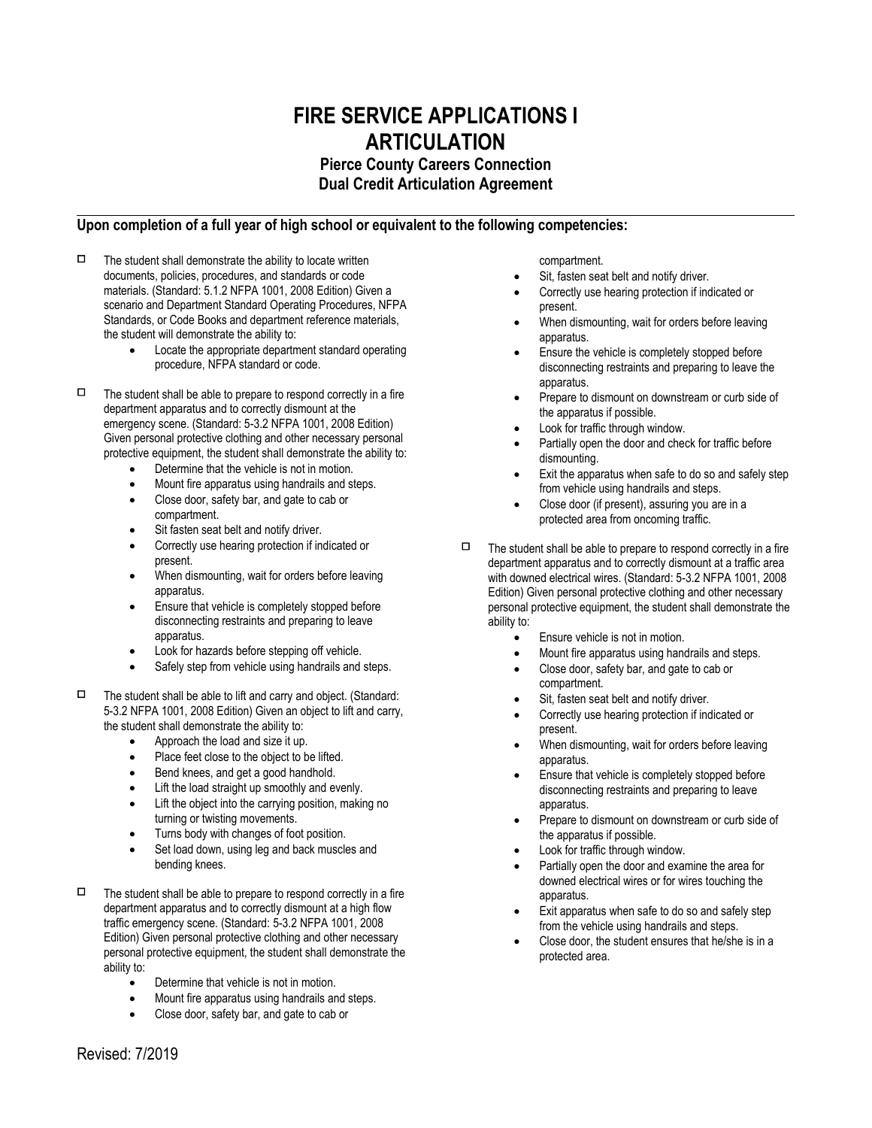## **FIRE SERVICE APPLICATIONS I ARTICULATION Pierce County Careers Connection**

**Dual Credit Articulation Agreement**

## **Upon completion of a full year of high school or equivalent to the following competencies:**

- $\Box$  The student shall demonstrate the ability to locate written documents, policies, procedures, and standards or code materials. (Standard: 5.1.2 NFPA 1001, 2008 Edition) Given a scenario and Department Standard Operating Procedures, NFPA Standards, or Code Books and department reference materials, the student will demonstrate the ability to:
	- Locate the appropriate department standard operating procedure, NFPA standard or code.
- $\Box$  The student shall be able to prepare to respond correctly in a fire department apparatus and to correctly dismount at the emergency scene. (Standard: 5-3.2 NFPA 1001, 2008 Edition) Given personal protective clothing and other necessary personal protective equipment, the student shall demonstrate the ability to:
	- Determine that the vehicle is not in motion.
	- Mount fire apparatus using handrails and steps.
	- Close door, safety bar, and gate to cab or compartment.
	- Sit fasten seat belt and notify driver.
	- Correctly use hearing protection if indicated or present.
	- When dismounting, wait for orders before leaving apparatus.
	- Ensure that vehicle is completely stopped before disconnecting restraints and preparing to leave apparatus.
	- Look for hazards before stepping off vehicle.
	- Safely step from vehicle using handrails and steps.
- $\Box$  The student shall be able to lift and carry and object. (Standard: 5-3.2 NFPA 1001, 2008 Edition) Given an object to lift and carry, the student shall demonstrate the ability to:
	- Approach the load and size it up.
	- Place feet close to the object to be lifted.
	- Bend knees, and get a good handhold.
	- Lift the load straight up smoothly and evenly.
	- Lift the object into the carrying position, making no turning or twisting movements.
	- Turns body with changes of foot position.
	- Set load down, using leg and back muscles and bending knees.
- $\Box$  The student shall be able to prepare to respond correctly in a fire department apparatus and to correctly dismount at a high flow traffic emergency scene. (Standard: 5-3.2 NFPA 1001, 2008 Edition) Given personal protective clothing and other necessary personal protective equipment, the student shall demonstrate the ability to:
	- Determine that vehicle is not in motion.
	- Mount fire apparatus using handrails and steps.
	- Close door, safety bar, and gate to cab or

compartment.

- Sit, fasten seat belt and notify driver.
- Correctly use hearing protection if indicated or present.
- When dismounting, wait for orders before leaving apparatus.
- Ensure the vehicle is completely stopped before disconnecting restraints and preparing to leave the apparatus.
- Prepare to dismount on downstream or curb side of the apparatus if possible.
- Look for traffic through window.
- Partially open the door and check for traffic before dismounting.
- Exit the apparatus when safe to do so and safely step from vehicle using handrails and steps.
- Close door (if present), assuring you are in a protected area from oncoming traffic.
- $\Box$  The student shall be able to prepare to respond correctly in a fire department apparatus and to correctly dismount at a traffic area with downed electrical wires. (Standard: 5-3.2 NFPA 1001, 2008 Edition) Given personal protective clothing and other necessary personal protective equipment, the student shall demonstrate the ability to:
	- Ensure vehicle is not in motion.
	- Mount fire apparatus using handrails and steps.
	- Close door, safety bar, and gate to cab or compartment.
	- Sit, fasten seat belt and notify driver.
	- Correctly use hearing protection if indicated or present.
	- When dismounting, wait for orders before leaving apparatus.
	- Ensure that vehicle is completely stopped before disconnecting restraints and preparing to leave apparatus.
	- Prepare to dismount on downstream or curb side of the apparatus if possible.
	- Look for traffic through window.
	- Partially open the door and examine the area for downed electrical wires or for wires touching the apparatus.
	- Exit apparatus when safe to do so and safely step from the vehicle using handrails and steps.
	- Close door, the student ensures that he/she is in a protected area.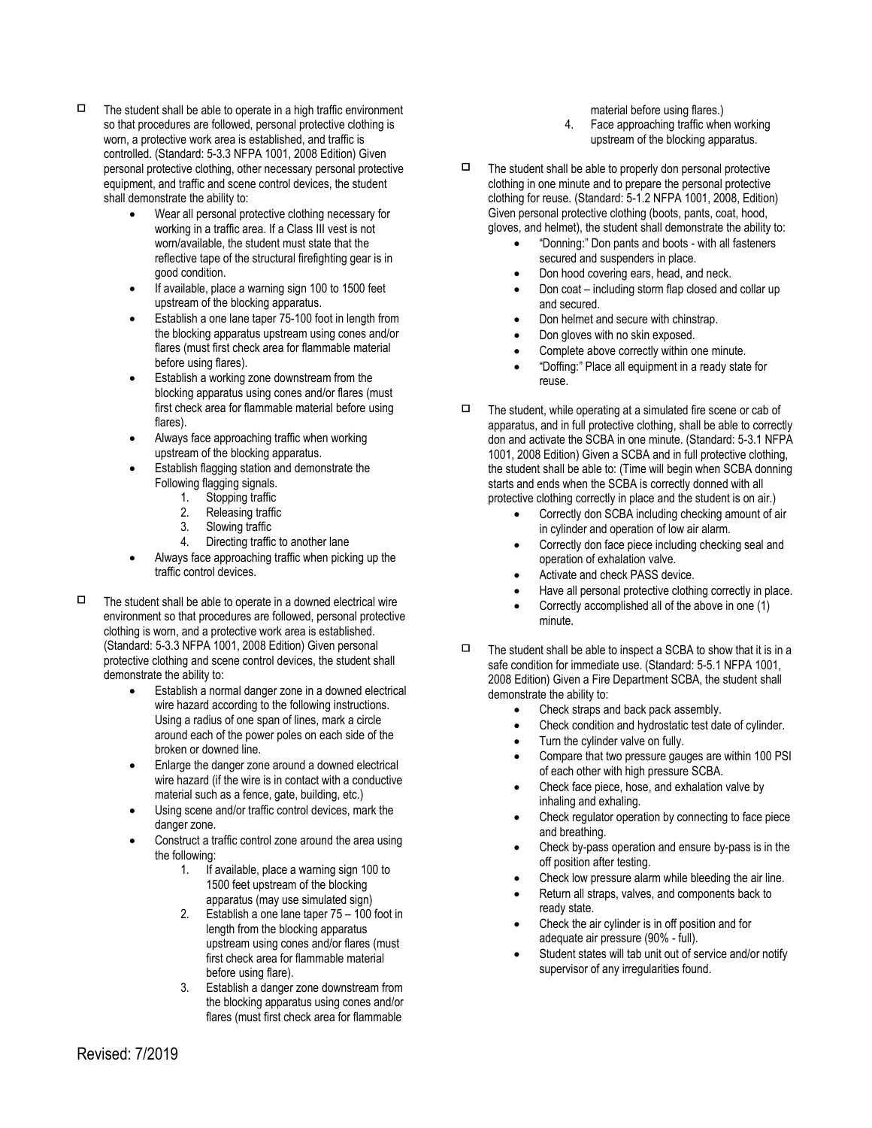- $\Box$  The student shall be able to operate in a high traffic environment so that procedures are followed, personal protective clothing is worn, a protective work area is established, and traffic is controlled. (Standard: 5-3.3 NFPA 1001, 2008 Edition) Given personal protective clothing, other necessary personal protective equipment, and traffic and scene control devices, the student shall demonstrate the ability to:
	- Wear all personal protective clothing necessary for working in a traffic area. If a Class III vest is not worn/available, the student must state that the reflective tape of the structural firefighting gear is in good condition.
	- If available, place a warning sign 100 to 1500 feet upstream of the blocking apparatus.
	- Establish a one lane taper 75-100 foot in length from the blocking apparatus upstream using cones and/or flares (must first check area for flammable material before using flares).
	- Establish a working zone downstream from the blocking apparatus using cones and/or flares (must first check area for flammable material before using flares).
	- Always face approaching traffic when working upstream of the blocking apparatus.
	- Establish flagging station and demonstrate the Following flagging signals.
		- 1. Stopping traffic
		- 2. Releasing traffic<br>3. Slowing traffic
		- Slowing traffic
		- 4. Directing traffic to another lane
	- Always face approaching traffic when picking up the traffic control devices.
- $\Box$  The student shall be able to operate in a downed electrical wire environment so that procedures are followed, personal protective clothing is worn, and a protective work area is established. (Standard: 5-3.3 NFPA 1001, 2008 Edition) Given personal protective clothing and scene control devices, the student shall demonstrate the ability to:
	- Establish a normal danger zone in a downed electrical wire hazard according to the following instructions. Using a radius of one span of lines, mark a circle around each of the power poles on each side of the broken or downed line.
	- Enlarge the danger zone around a downed electrical wire hazard (if the wire is in contact with a conductive material such as a fence, gate, building, etc.)
	- Using scene and/or traffic control devices, mark the danger zone.
	- Construct a traffic control zone around the area using the following:
		- 1. If available, place a warning sign 100 to 1500 feet upstream of the blocking apparatus (may use simulated sign)
		- 2. Establish a one lane taper 75 100 foot in length from the blocking apparatus upstream using cones and/or flares (must first check area for flammable material before using flare).
		- 3. Establish a danger zone downstream from the blocking apparatus using cones and/or flares (must first check area for flammable

material before using flares.)

- 4. Face approaching traffic when working upstream of the blocking apparatus.
- $\Box$  The student shall be able to properly don personal protective clothing in one minute and to prepare the personal protective clothing for reuse. (Standard: 5-1.2 NFPA 1001, 2008, Edition) Given personal protective clothing (boots, pants, coat, hood, gloves, and helmet), the student shall demonstrate the ability to:
	- "Donning:" Don pants and boots with all fasteners secured and suspenders in place.
	- Don hood covering ears, head, and neck.
	- Don coat including storm flap closed and collar up and secured.
	- Don helmet and secure with chinstrap.
	- Don gloves with no skin exposed.
	- Complete above correctly within one minute.
	- "Doffing:" Place all equipment in a ready state for reuse.
- $\Box$  The student, while operating at a simulated fire scene or cab of apparatus, and in full protective clothing, shall be able to correctly don and activate the SCBA in one minute. (Standard: 5-3.1 NFPA 1001, 2008 Edition) Given a SCBA and in full protective clothing, the student shall be able to: (Time will begin when SCBA donning starts and ends when the SCBA is correctly donned with all protective clothing correctly in place and the student is on air.)
	- Correctly don SCBA including checking amount of air in cylinder and operation of low air alarm.
	- Correctly don face piece including checking seal and operation of exhalation valve.
	- Activate and check PASS device.
	- Have all personal protective clothing correctly in place.
	- Correctly accomplished all of the above in one (1) minute.
- $\Box$  The student shall be able to inspect a SCBA to show that it is in a safe condition for immediate use. (Standard: 5-5.1 NFPA 1001, 2008 Edition) Given a Fire Department SCBA, the student shall demonstrate the ability to:
	- Check straps and back pack assembly.
	- Check condition and hydrostatic test date of cylinder.
	- Turn the cylinder valve on fully.
	- Compare that two pressure gauges are within 100 PSI of each other with high pressure SCBA.
	- Check face piece, hose, and exhalation valve by inhaling and exhaling.
	- Check regulator operation by connecting to face piece and breathing.
	- Check by-pass operation and ensure by-pass is in the off position after testing.
	- Check low pressure alarm while bleeding the air line.
	- Return all straps, valves, and components back to ready state.
	- Check the air cylinder is in off position and for adequate air pressure (90% - full).
	- Student states will tab unit out of service and/or notify supervisor of any irregularities found.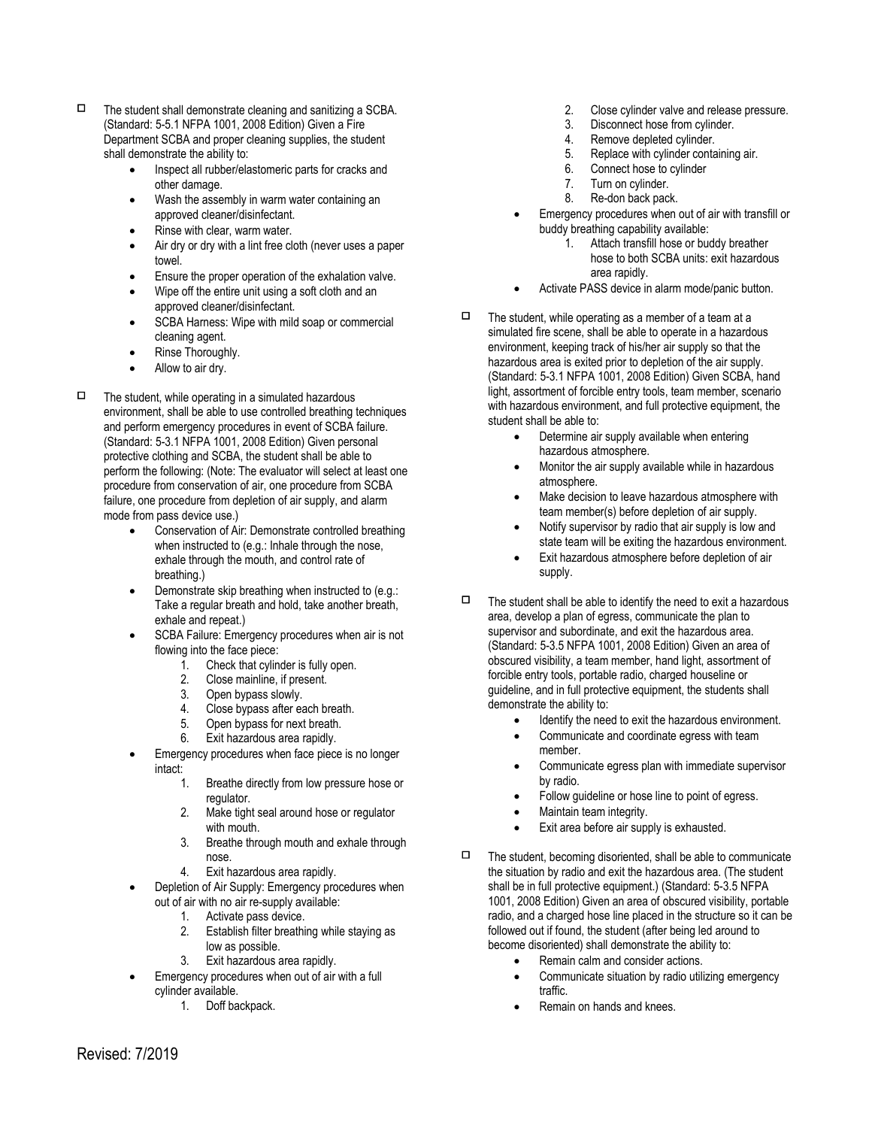- $\Box$  The student shall demonstrate cleaning and sanitizing a SCBA. (Standard: 5-5.1 NFPA 1001, 2008 Edition) Given a Fire Department SCBA and proper cleaning supplies, the student shall demonstrate the ability to:
	- Inspect all rubber/elastomeric parts for cracks and other damage.
	- Wash the assembly in warm water containing an approved cleaner/disinfectant.
	- Rinse with clear, warm water.
	- Air dry or dry with a lint free cloth (never uses a paper towel.
	- Ensure the proper operation of the exhalation valve.
	- Wipe off the entire unit using a soft cloth and an approved cleaner/disinfectant.
	- SCBA Harness: Wipe with mild soap or commercial cleaning agent.
	- Rinse Thoroughly.
	- Allow to air dry.
- $\Box$  The student, while operating in a simulated hazardous environment, shall be able to use controlled breathing techniques and perform emergency procedures in event of SCBA failure. (Standard: 5-3.1 NFPA 1001, 2008 Edition) Given personal protective clothing and SCBA, the student shall be able to perform the following: (Note: The evaluator will select at least one procedure from conservation of air, one procedure from SCBA failure, one procedure from depletion of air supply, and alarm mode from pass device use.)
	- Conservation of Air: Demonstrate controlled breathing when instructed to (e.g.: Inhale through the nose, exhale through the mouth, and control rate of breathing.)
	- Demonstrate skip breathing when instructed to (e.g.: Take a regular breath and hold, take another breath, exhale and repeat.)
	- SCBA Failure: Emergency procedures when air is not flowing into the face piece:
		- 1. Check that cylinder is fully open.
		- 2. Close mainline, if present.
		- 3. Open bypass slowly.
		- 4. Close bypass after each breath.
		- 5. Open bypass for next breath.
		- 6. Exit hazardous area rapidly.
	- Emergency procedures when face piece is no longer intact:
		- 1. Breathe directly from low pressure hose or regulator.
		- 2. Make tight seal around hose or regulator with mouth.
		- 3. Breathe through mouth and exhale through nose.
		- 4. Exit hazardous area rapidly.
		- Depletion of Air Supply: Emergency procedures when out of air with no air re-supply available:
			- 1. Activate pass device.
			- 2. Establish filter breathing while staying as low as possible.
			- 3. Exit hazardous area rapidly.
	- Emergency procedures when out of air with a full cylinder available.
		- 1. Doff backpack.
- 2. Close cylinder valve and release pressure.
- 3. Disconnect hose from cylinder.
- 4. Remove depleted cylinder.
- 5. Replace with cylinder containing air.
- 6. Connect hose to cylinder
- 7. Turn on cylinder.<br>8. Re-don back pack
- Re-don back pack.
- Emergency procedures when out of air with transfill or buddy breathing capability available:
	- 1. Attach transfill hose or buddy breather hose to both SCBA units: exit hazardous area rapidly.
- Activate PASS device in alarm mode/panic button.
- $\Box$  The student, while operating as a member of a team at a simulated fire scene, shall be able to operate in a hazardous environment, keeping track of his/her air supply so that the hazardous area is exited prior to depletion of the air supply. (Standard: 5-3.1 NFPA 1001, 2008 Edition) Given SCBA, hand light, assortment of forcible entry tools, team member, scenario with hazardous environment, and full protective equipment, the student shall be able to:
	- Determine air supply available when entering hazardous atmosphere.
	- Monitor the air supply available while in hazardous atmosphere.
	- Make decision to leave hazardous atmosphere with team member(s) before depletion of air supply.
	- Notify supervisor by radio that air supply is low and state team will be exiting the hazardous environment.
	- Exit hazardous atmosphere before depletion of air supply.
- $\Box$  The student shall be able to identify the need to exit a hazardous area, develop a plan of egress, communicate the plan to supervisor and subordinate, and exit the hazardous area. (Standard: 5-3.5 NFPA 1001, 2008 Edition) Given an area of obscured visibility, a team member, hand light, assortment of forcible entry tools, portable radio, charged houseline or guideline, and in full protective equipment, the students shall demonstrate the ability to:
	- Identify the need to exit the hazardous environment.
	- Communicate and coordinate egress with team member.
		- Communicate egress plan with immediate supervisor by radio.
	- Follow guideline or hose line to point of egress.
	- Maintain team integrity.
	- Exit area before air supply is exhausted.
- $\Box$  The student, becoming disoriented, shall be able to communicate the situation by radio and exit the hazardous area. (The student shall be in full protective equipment.) (Standard: 5-3.5 NFPA 1001, 2008 Edition) Given an area of obscured visibility, portable radio, and a charged hose line placed in the structure so it can be followed out if found, the student (after being led around to become disoriented) shall demonstrate the ability to:
	- Remain calm and consider actions.
	- Communicate situation by radio utilizing emergency traffic.
	- Remain on hands and knees.